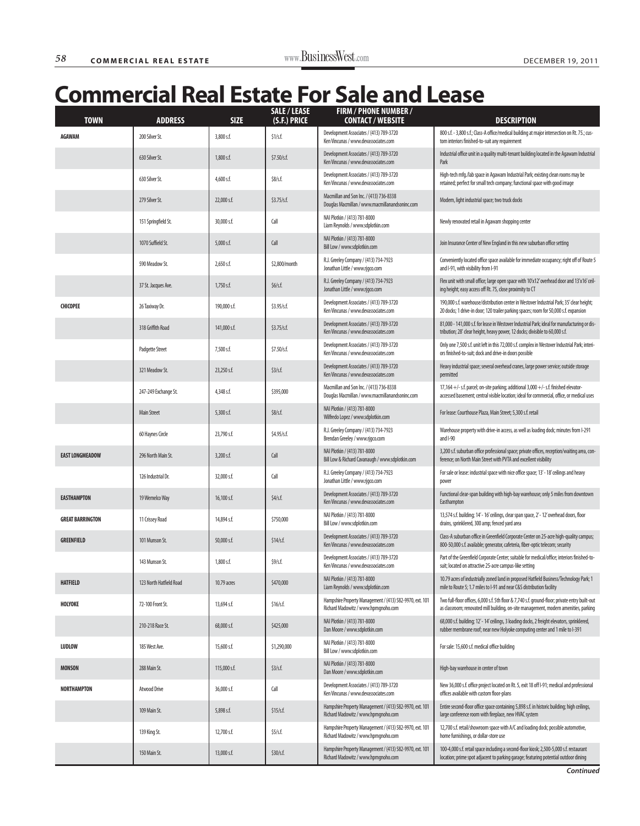| <b>TOWN</b>             | <b>ADDRESS</b>          | <b>SIZE</b>   | <b>SALE / LEASE</b><br>(S.F.) PRICE | <b>FIRM / PHONE NUMBER /</b><br><b>CONTACT / WEBSITE</b>                                        | <b>DESCRIPTION</b>                                                                                                                                                                      |
|-------------------------|-------------------------|---------------|-------------------------------------|-------------------------------------------------------------------------------------------------|-----------------------------------------------------------------------------------------------------------------------------------------------------------------------------------------|
| <b>AGAWAM</b>           | 200 Silver St.          | 3,800 s.f.    | \$1/s.f.                            | Development Associates / (413) 789-3720<br>Ken Vincunas / www.devassociates.com                 | 800 s.f. - 3,800 s.f.; Class-A office/medical building at major intersection on Rt. 75.; cus-<br>tom interiors finished-to-suit any requirement                                         |
|                         | 630 Silver St.          | 1,800 s.f.    | \$7.50/s.f.                         | Development Associates / (413) 789-3720<br>Ken Vincunas / www.devassociates.com                 | Industrial office unit in a quality multi-tenant building located in the Agawam Industrial<br>Park                                                                                      |
|                         | 630 Silver St.          | $4,600$ s.f.  | \$8/s.f.                            | Development Associates / (413) 789-3720<br>Ken Vincunas / www.devassociates.com                 | High-tech mfg./lab space in Agawam Industrial Park; existing clean rooms may be<br>retained; perfect for small tech company; functional space with good image                           |
|                         | 279 Silver St.          | 22,000 s.f.   | \$3.75/s.f.                         | Macmillan and Son Inc. / (413) 736-8338<br>Douglas Macmillan / www.macmillanandsoninc.com       | Modern, light industrial space; two truck docks                                                                                                                                         |
|                         | 151 Springfield St.     | 30,000 s.f.   | Call                                | NAI Plotkin / (413) 781-8000<br>Liam Reynolds / www.sdplotkin.com                               | Newly renovated retail in Agawam shopping center                                                                                                                                        |
|                         | 1070 Suffield St.       | $5,000$ s.f.  | Call                                | NAI Plotkin / (413) 781-8000<br>Bill Low / www.sdplotkin.com                                    | Join Insurance Center of New England in this new suburban office setting                                                                                                                |
|                         | 590 Meadow St.          | $2,650$ s.f.  | \$2,800/month                       | R.J. Greeley Company / (413) 734-7923<br>Jonathan Little / www.rjgco.com                        | Conveniently located office space available for immediate occupancy; right off of Route 5<br>and I-91, with visibility from I-91                                                        |
|                         | 37 St. Jacques Ave.     | $1,750$ s.f.  | \$6/s.f.                            | R.J. Greeley Company / (413) 734-7923<br>Jonathan Little / www.rjgco.com                        | Flex unit with small office; large open space with 10'x12' overhead door and 13'x16' ceil-<br>ing height; easy access off Rt. 75, close proximity to CT                                 |
| <b>CHICOPEE</b>         | 26 Taxiway Dr.          | 190,000 s.f.  | \$3.95/s.f.                         | Development Associates / (413) 789-3720<br>Ken Vincunas / www.devassociates.com                 | 190,000 s.f. warehouse/distribution center in Westover Industrial Park; 35' clear height;<br>20 docks; 1 drive-in door; 120 trailer parking spaces; room for 50,000 s.f. expansion      |
|                         | 318 Griffith Road       | 141,000 s.f.  | \$3.75/s.f.                         | Development Associates / (413) 789-3720<br>Ken Vincunas / www.devassociates.com                 | 81,000 - 141,000 s.f. for lease in Westover Industrial Park; ideal for manufacturing or dis-<br>tribution; 28' clear height, heavy power, 12 docks; divisible to 60,000 s.f.            |
|                         | <b>Padgette Street</b>  | 7,500 s.f.    | \$7.50/s.f.                         | Development Associates / (413) 789-3720<br>Ken Vincunas / www.devassociates.com                 | Only one 7,500 s.f. unit left in this 72,000 s.f. complex in Westover Industrial Park; interi-<br>ors finished-to-suit; dock and drive-in doors possible                                |
|                         | 321 Meadow St.          | 23,250 s.f.   | \$3/s.f.                            | Development Associates / (413) 789-3720<br>Ken Vincunas / www.devassociates.com                 | Heavy industrial space; several overhead cranes, large power service; outside storage<br>permitted                                                                                      |
|                         | 247-249 Exchange St.    | 4,348 s.f.    | \$395,000                           | Macmillan and Son Inc. / (413) 736-8338<br>Douglas Macmillan / www.macmillanandsoninc.com       | 17,164 +/- s.f. parcel; on-site parking; additional 3,000 +/- s.f. finished elevator-<br>accessed basement; central visible location; ideal for commercial, office, or medical uses     |
|                         | <b>Main Street</b>      | 5,300 s.f.    | \$8/s.f.                            | NAI Plotkin / (413) 781-8000<br>Wilfredo Lopez / www.sdplotkin.com                              | For lease: Courthouse Plaza, Main Street; 5,300 s.f. retail                                                                                                                             |
|                         | 60 Haynes Circle        | 23,790 s.f.   | \$4.95/s.f.                         | R.J. Greeley Company / (413) 734-7923<br>Brendan Greeley / www.rjgco.com                        | Warehouse property with drive-in access, as well as loading dock; minutes from I-291<br>and I-90                                                                                        |
| <b>EAST LONGMEADOW</b>  | 296 North Main St.      | 3,200 s.f.    | Call                                | NAI Plotkin / (413) 781-8000<br>Bill Low & Richard Cavanaugh / www.sdplotkin.com                | 3,200 s.f. suburban office professional space; private offices, reception/waiting area, con-<br>ference; on North Main Street with PVTA and excellent visibility                        |
|                         | 126 Industrial Dr.      | 32,000 s.f.   | Call                                | R.J. Greeley Company / (413) 734-7923<br>Jonathan Little / www.rjgco.com                        | For sale or lease: industrial space with nice office space; 13' - 18' ceilings and heavy<br>power                                                                                       |
| <b>EASTHAMPTON</b>      | 19 Wemelco Way          | $16,100$ s.f. | \$4/s.f.                            | Development Associates / (413) 789-3720<br>Ken Vincunas / www.devassociates.com                 | Functional clear-span building with high-bay warehouse; only 5 miles from downtown<br>Easthampton                                                                                       |
| <b>GREAT BARRINGTON</b> | 11 Crissey Road         | 14,894 s.f.   | \$750,000                           | NAI Plotkin / (413) 781-8000<br>Bill Low / www.sdplotkin.com                                    | 13,574 s.f. building; 14' - 16' ceilings, clear span space, 2' - 12' overhead doors, floor<br>drains, sprinklered, 300 amp; fenced yard area                                            |
| <b>GREENFIELD</b>       | 101 Munson St.          | 50,000 s.f.   | \$14/s.f.                           | Development Associates / (413) 789-3720<br>Ken Vincunas / www.devassociates.com                 | Class-A suburban office in Greenfield Corporate Center on 25-acre high-quality campus;<br>800-50,000 s.f. available; generator, cafeteria, fiber-optic telecom; security                |
|                         | 143 Munson St.          | 1,800 s.f.    | \$9/s.f.                            | Development Associates / (413) 789-3720<br>Ken Vincunas / www.devassociates.com                 | Part of the Greenfield Corporate Center; suitable for medical/office; interiors finished-to-<br>suit; located on attractive 25-acre campus-like setting                                 |
| <b>HATFIELD</b>         | 123 North Hatfield Road | 10.79 acres   | \$470,000                           | NAI Plotkin / (413) 781-8000<br>Liam Reynolds / www.sdplotkin.com                               | 10.79 acres of industrially zoned land in proposed Hatfield Business/Technology Park; 1<br>mile to Route 5; 1.7 miles to I-91 and near C&S distribution facility                        |
| HOLYOKE                 | 72-100 Front St.        | 13,694 s.f.   | \$16/s.f.                           | Hampshire Property Management / (413) 582-9970, ext. 101<br>Richard Madowitz / www.hpmgnoho.com | Two full-floor offices, 6,000 s.f. 5th floor & 7,740 s.f. ground-floor; private entry built-out<br>as classroom; renovated mill building, on-site management, modern amenities, parking |
|                         | 210-218 Race St.        | 68,000 s.f.   | \$425,000                           | NAI Plotkin / (413) 781-8000<br>Dan Moore / www.sdplotkin.com                                   | 68,000 s.f. building; 12' - 14' ceilings, 3 loading docks, 2 freight elevators, sprinklered,<br>rubber membrane roof; near new Holyoke computing center and 1 mile to I-391             |
| <b>LUDLOW</b>           | 185 West Ave.           | 15,600 s.f.   | \$1,290,000                         | NAI Plotkin / (413) 781-8000<br>Bill Low / www.sdplotkin.com                                    | For sale: 15,600 s.f. medical office building                                                                                                                                           |
| <b>MONSON</b>           | 288 Main St.            | 115,000 s.f.  | \$3/s.f.                            | NAI Plotkin / (413) 781-8000<br>Dan Moore / www.sdplotkin.com                                   | High-bay warehouse in center of town                                                                                                                                                    |
| <b>NORTHAMPTON</b>      | <b>Atwood Drive</b>     | 36,000 s.f.   | Call                                | Development Associates / (413) 789-3720<br>Ken Vincunas / www.devassociates.com                 | New 36,000 s.f. office project located on Rt. 5, exit 18 off I-91; medical and professional<br>offices available with custom floor-plans                                                |
|                         | 109 Main St.            | 5,898 s.f.    | \$15/s.f.                           | Hampshire Property Management / (413) 582-9970, ext. 101<br>Richard Madowitz / www.hpmqnoho.com | Entire second-floor office space containing 5,898 s.f. in historic building; high ceilings,<br>large conference room with fireplace, new HVAC system                                    |
|                         | 139 King St.            | 12,700 s.f.   | $$5$ /s.f.                          | Hampshire Property Management / (413) 582-9970, ext. 101<br>Richard Madowitz / www.hpmgnoho.com | 12,700 s.f. retail/showroom space with A/C and loading dock; possible automotive,<br>home furnishings, or dollar-store use                                                              |
|                         | 150 Main St.            | 13,000 s.f.   | \$30/s.f.                           | Hampshire Property Management / (413) 582-9970, ext. 101<br>Richard Madowitz / www.hpmgnoho.com | 100-4,000 s.f. retail space including a second-floor kiosk; 2,500-5,000 s.f. restaurant<br>location; prime spot adjacent to parking garage; featuring potential outdoor dining          |

**Continued**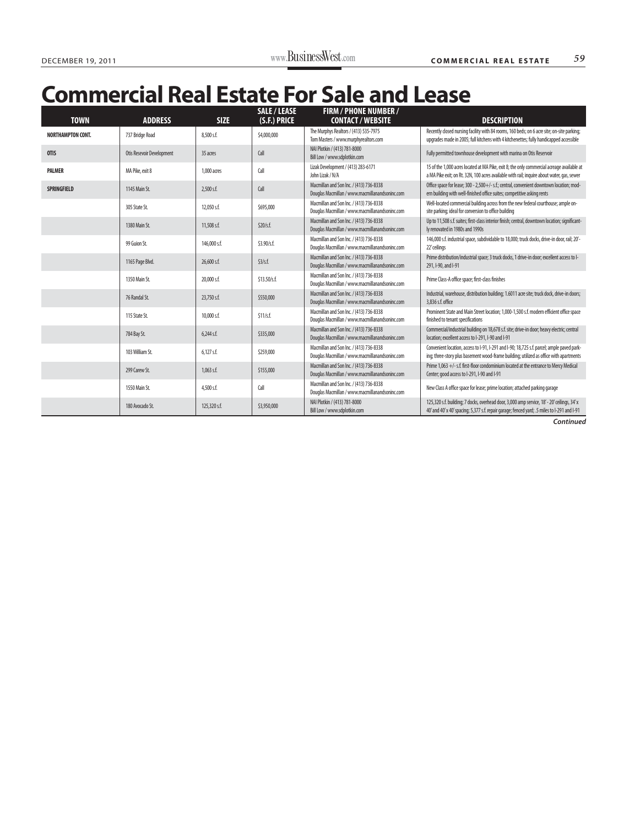| <b>TOWN</b>              | <b>ADDRESS</b>            | <b>SIZE</b>    | <b>SALE / LEASE</b><br>(S.F.) PRICE | <b>FIRM / PHONE NUMBER /</b><br><b>CONTACT / WEBSITE</b>                                  | <b>DESCRIPTION</b>                                                                                                                                                                          |
|--------------------------|---------------------------|----------------|-------------------------------------|-------------------------------------------------------------------------------------------|---------------------------------------------------------------------------------------------------------------------------------------------------------------------------------------------|
| <b>NORTHAMPTON CONT.</b> | 737 Bridge Road           | 8.500 s.f.     | \$4,000,000                         | The Murphys Realtors / (413) 535-7975<br>Tom Masters / www.murphyrealtors.com             | Recently closed nursing facility with 84 rooms, 160 beds; on 6 acre site; on-site parking;<br>upgrades made in 2005; full kitchens with 4 kitchenettes; fully handicapped accessible        |
| <b>OTIS</b>              | Otis Resevoir Development | 35 acres       | Call                                | NAI Plotkin / (413) 781-8000<br>Bill Low / www.sdplotkin.com                              | Fully permitted townhouse development with marina on Otis Reservoir                                                                                                                         |
| <b>PALMER</b>            | MA Pike, exit 8           | 1,000 acres    | Call                                | Lizak Development / (413) 283-6171<br>John Lizak / N/A                                    | 15 of the 1,000 acres located at MA Pike, exit 8; the only commercial acreage available at<br>a MA Pike exit; on Rt. 32N, 100 acres available with rail; inquire about water, gas, sewer    |
| <b>SPRINGFIELD</b>       | 1145 Main St.             | $2.500$ s.f.   | Call                                | Macmillan and Son Inc. / (413) 736-8338<br>Douglas Macmillan / www.macmillanandsoninc.com | Office space for lease; 300 - 2,500+/- s.f.; central, convenient downtown location; mod-<br>ern building with well-finished office suites; competitive asking rents                         |
|                          | 305 State St.             | 12,050 s.f.    | \$695,000                           | Macmillan and Son Inc. / (413) 736-8338<br>Douglas Macmillan / www.macmillanandsoninc.com | Well-located commercial building across from the new federal courthouse; ample on-<br>site parking; ideal for conversion to office building                                                 |
|                          | 1380 Main St.             | 11,508 s.f.    | \$20/s.f.                           | Macmillan and Son Inc. / (413) 736-8338<br>Douglas Macmillan / www.macmillanandsoninc.com | Up to 11,508 s.f. suites; first-class interior finish; central, downtown location; significant-<br>ly renovated in 1980s and 1990s                                                          |
|                          | 99 Guion St.              | 146,000 s.f.   | \$3.90/s.f.                         | Macmillan and Son Inc. / (413) 736-8338<br>Douglas Macmillan / www.macmillanandsoninc.com | 146,000 s.f. industrial space, subdividable to 18,000; truck docks, drive-in door, rail; 20'-<br>22' ceilings                                                                               |
|                          | 1165 Page Blvd.           | 26,600 s.f.    | \$3/s.f.                            | Macmillan and Son Inc. / (413) 736-8338<br>Douglas Macmillan / www.macmillanandsoninc.com | Prime distribution/industrial space; 3 truck docks, 1 drive-in door; excellent access to l-<br>291, I-90, and I-91                                                                          |
|                          | 1350 Main St.             | 20,000 s.f.    | \$13.50/s.f.                        | Macmillan and Son Inc. / (413) 736-8338<br>Douglas Macmillan / www.macmillanandsoninc.com | Prime Class-A office space; first-class finishes                                                                                                                                            |
|                          | 76 Randal St.             | 23,750 s.f.    | \$550,000                           | Macmillan and Son Inc. / (413) 736-8338<br>Douglas Macmillan / www.macmillanandsoninc.com | Industrial, warehouse, distribution building; 1.6011 acre site; truck dock, drive-in doors;<br>3.836 s.f. office                                                                            |
|                          | 115 State St.             | 10,000 s.f.    | \$11/s.f.                           | Macmillan and Son Inc. / (413) 736-8338<br>Douglas Macmillan / www.macmillanandsoninc.com | Prominent State and Main Street location; 1,000-1,500 s.f. modern efficient office space<br>finished to tenant specifications                                                               |
|                          | 784 Bay St.               | $6,244$ s.f.   | \$335,000                           | Macmillan and Son Inc. / (413) 736-8338<br>Douglas Macmillan / www.macmillanandsoninc.com | Commercial/industrial building on 18,678 s.f. site; drive-in door; heavy electric; central<br>location; excellent access to I-291, I-90 and I-91                                            |
|                          | 103 William St.           | $6,127$ s.f.   | \$259,000                           | Macmillan and Son Inc. / (413) 736-8338<br>Douglas Macmillan / www.macmillanandsoninc.com | Convenient location, access to I-91, I-291 and I-90; 18,725 s.f. parcel; ample paved park-<br>ing; three-story plus basement wood-frame building; utilized as office with apartments        |
|                          | 299 Carew St.             | $1.063$ s.f.   | \$155,000                           | Macmillan and Son Inc. / (413) 736-8338<br>Douglas Macmillan / www.macmillanandsoninc.com | Prime 1,063 +/- s.f. first-floor condominium located at the entrance to Mercy Medical<br>Center; good access to I-291, I-90 and I-91                                                        |
|                          | 1550 Main St.             | 4,500 s.f.     | Call                                | Macmillan and Son Inc. / (413) 736-8338<br>Douglas Macmillan / www.macmillanandsoninc.com | New Class A office space for lease; prime location; attached parking garage                                                                                                                 |
|                          | 180 Avocado St.           | $125,320$ s.f. | \$3,950,000                         | NAI Plotkin / (413) 781-8000<br>Bill Low / www.sdplotkin.com                              | 125,320 s.f. building; 7 docks, overhead door, 3,000 amp service, 18' - 20' ceilings, 34' x<br>40' and 40' x 40' spacing; 5,377 s.f. repair garage; fenced yard; .5 miles to I-291 and I-91 |

**Continued**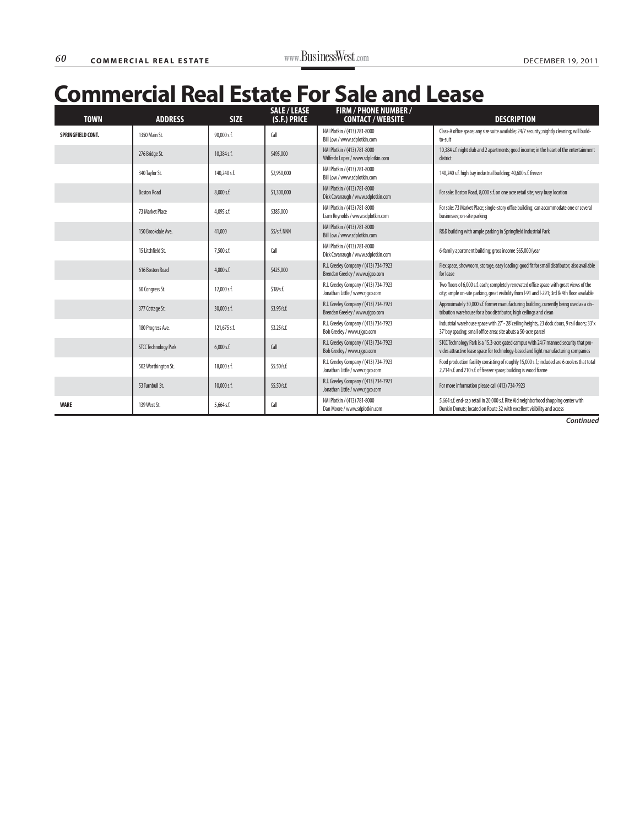| <b>TOWN</b>       | <b>ADDRESS</b>              | <b>SIZE</b>  | <b>SALE / LEASE</b><br>(S.F.) PRICE | <b>FIRM / PHONE NUMBER /</b><br><b>CONTACT / WEBSITE</b>                 | <b>DESCRIPTION</b>                                                                                                                                                                       |
|-------------------|-----------------------------|--------------|-------------------------------------|--------------------------------------------------------------------------|------------------------------------------------------------------------------------------------------------------------------------------------------------------------------------------|
| SPRINGFIELD CONT. | 1350 Main St.               | 90,000 s.f.  | Call                                | NAI Plotkin / (413) 781-8000<br>Bill Low / www.sdplotkin.com             | Class-A office space; any size suite available; 24/7 security; nightly cleaning; will build-<br>to-suit                                                                                  |
|                   | 276 Bridge St.              | 10,384 s.f.  | \$495,000                           | NAI Plotkin / (413) 781-8000<br>Wilfredo Lopez / www.sdplotkin.com       | 10,384 s.f. night club and 2 apartments; good income; in the heart of the entertainment<br>district                                                                                      |
|                   | 340 Taylor St.              | 140,240 s.f. | \$2,950,000                         | NAI Plotkin / (413) 781-8000<br>Bill Low / www.sdplotkin.com             | 140,240 s.f. high bay industrial building; 40,600 s.f. freezer                                                                                                                           |
|                   | <b>Boston Road</b>          | 8,000 s.f.   | \$1,300,000                         | NAI Plotkin / (413) 781-8000<br>Dick Cavanaugh / www.sdplotkin.com       | For sale: Boston Road, 8,000 s.f. on one acre retail site; very busy location                                                                                                            |
|                   | 73 Market Place             | 4,095 s.f.   | \$385,000                           | NAI Plotkin / (413) 781-8000<br>Liam Reynolds / www.sdplotkin.com        | For sale: 73 Market Place; single-story office building; can accommodate one or several<br>businesses; on-site parking                                                                   |
|                   | 150 Brookdale Ave.          | 41,000       | $$5/$ s.f. NNN                      | NAI Plotkin / (413) 781-8000<br>Bill Low / www.sdplotkin.com             | R&D building with ample parking in Springfield Industrial Park                                                                                                                           |
|                   | 15 Litchfield St.           | 7,500 s.f.   | Call                                | NAI Plotkin / (413) 781-8000<br>Dick Cavanaugh / www.sdplotkin.com       | 6-family apartment building; gross income \$65,000/year                                                                                                                                  |
|                   | 616 Boston Road             | 4,800 s.f.   | \$425,000                           | R.J. Greeley Company / (413) 734-7923<br>Brendan Greeley / www.rjqco.com | Flex space, showroom, storage, easy loading; good fit for small distributor; also available<br>for lease                                                                                 |
|                   | 60 Congress St.             | 12,000 s.f.  | \$18/s.f.                           | R.J. Greeley Company / (413) 734-7923<br>Jonathan Little / www.rjqco.com | Two floors of 6,000 s.f. each; completely renovated office space with great views of the<br>city; ample on-site parking, great visibility from I-91 and I-291; 3rd & 4th floor available |
|                   | 377 Cottage St.             | 30,000 s.f.  | \$3.95/s.f.                         | R.J. Greeley Company / (413) 734-7923<br>Brendan Greeley / www.rjgco.com | Approximately 30,000 s.f. former manufacturing building, currently being used as a dis-<br>tribution warehouse for a box distributor; high ceilings and clean                            |
|                   | 180 Progress Ave.           | 121,675 s.f. | \$3.25/s.f.                         | R.J. Greeley Company / (413) 734-7923<br>Bob Greeley / www.rjqco.com     | Industrial warehouse space with 27' - 28' ceiling heights, 23 dock doors, 9 rail doors; 33' x<br>37' bay spacing; small office area; site abuts a 50-acre parcel                         |
|                   | <b>STCC Technology Park</b> | $6,000$ s.f. | Call                                | R.J. Greeley Company / (413) 734-7923<br>Bob Greeley / www.rjqco.com     | STCC Technology Park is a 15.3-acre gated campus with 24/7 manned security that pro-<br>vides attractive lease space for technology-based and light manufacturing companies              |
|                   | 502 Worthington St.         | 18,000 s.f.  | \$5.50/s.f.                         | R.J. Greeley Company / (413) 734-7923<br>Jonathan Little / www.rjgco.com | Food production facility consisting of roughly 15,000 s.f.; included are 6 coolers that total<br>2,714 s.f. and 210 s.f. of freezer space; building is wood frame                        |
|                   | 53 Turnbull St.             | 10,000 s.f.  | \$5.50/s.f.                         | R.J. Greeley Company / (413) 734-7923<br>Jonathan Little / www.rjqco.com | For more information please call (413) 734-7923                                                                                                                                          |
| <b>WARE</b>       | 139 West St.                | 5,664 s.f.   | Call                                | NAI Plotkin / (413) 781-8000<br>Dan Moore / www.sdplotkin.com            | 5,664 s.f. end-cap retail in 20,000 s.f. Rite Aid neighborhood shopping center with<br>Dunkin Donuts; located on Route 32 with excellent visibility and access                           |

**Continued**